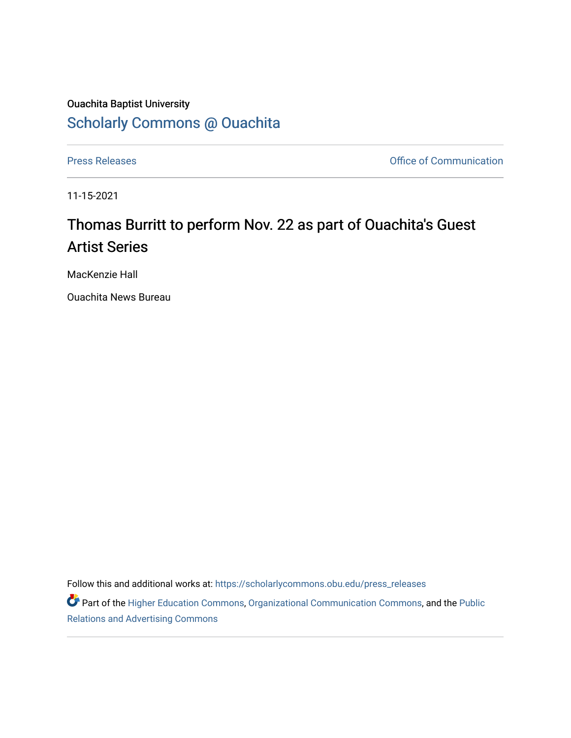## Ouachita Baptist University [Scholarly Commons @ Ouachita](https://scholarlycommons.obu.edu/)

[Press Releases](https://scholarlycommons.obu.edu/press_releases) **Press Releases Communication** 

11-15-2021

## Thomas Burritt to perform Nov. 22 as part of Ouachita's Guest Artist Series

MacKenzie Hall

Ouachita News Bureau

Follow this and additional works at: [https://scholarlycommons.obu.edu/press\\_releases](https://scholarlycommons.obu.edu/press_releases?utm_source=scholarlycommons.obu.edu%2Fpress_releases%2F901&utm_medium=PDF&utm_campaign=PDFCoverPages)

Part of the [Higher Education Commons,](http://network.bepress.com/hgg/discipline/1245?utm_source=scholarlycommons.obu.edu%2Fpress_releases%2F901&utm_medium=PDF&utm_campaign=PDFCoverPages) [Organizational Communication Commons,](http://network.bepress.com/hgg/discipline/335?utm_source=scholarlycommons.obu.edu%2Fpress_releases%2F901&utm_medium=PDF&utm_campaign=PDFCoverPages) and the [Public](http://network.bepress.com/hgg/discipline/336?utm_source=scholarlycommons.obu.edu%2Fpress_releases%2F901&utm_medium=PDF&utm_campaign=PDFCoverPages) [Relations and Advertising Commons](http://network.bepress.com/hgg/discipline/336?utm_source=scholarlycommons.obu.edu%2Fpress_releases%2F901&utm_medium=PDF&utm_campaign=PDFCoverPages)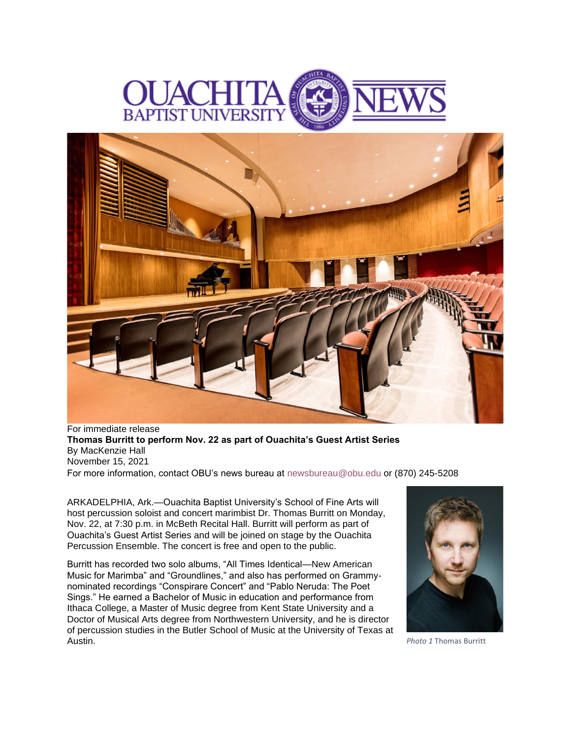



For immediate release **Thomas Burritt to perform Nov. 22 as part of Ouachita's Guest Artist Series** By MacKenzie Hall November 15, 2021 For more information, contact OBU's news bureau at [newsbureau@obu.edu](mailto:newsbureau@obu.edu) or (870) 245-5208

ARKADELPHIA, Ark.—Ouachita Baptist University's School of Fine Arts will host percussion soloist and concert marimbist Dr. Thomas Burritt on Monday, Nov. 22, at 7:30 p.m. in McBeth Recital Hall. Burritt will perform as part of Ouachita's Guest Artist Series and will be joined on stage by the Ouachita Percussion Ensemble. The concert is free and open to the public.

Burritt has recorded two solo albums, "All Times Identical—New American Music for Marimba" and "Groundlines," and also has performed on Grammynominated recordings "Conspirare Concert" and "Pablo Neruda: The Poet Sings." He earned a Bachelor of Music in education and performance from Ithaca College, a Master of Music degree from Kent State University and a Doctor of Musical Arts degree from Northwestern University, and he is director of percussion studies in the Butler School of Music at the University of Texas at



**Photo 1 Thomas Burritt**